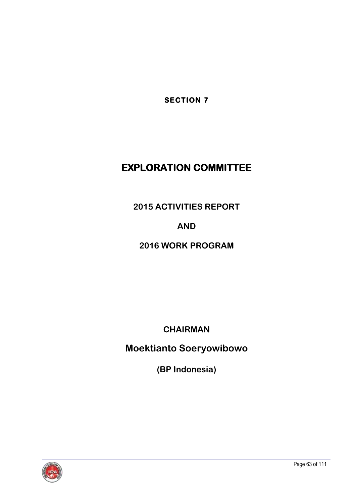**SECTION 7** 

# **EXPLORATION COMMITTEE**

**2015 ACTIVITIES REPORT**

**AND**

# **2016 WORK PROGRAM**

**CHAIRMAN**

**Moektianto Soeryowibowo**

**(BP Indonesia)**

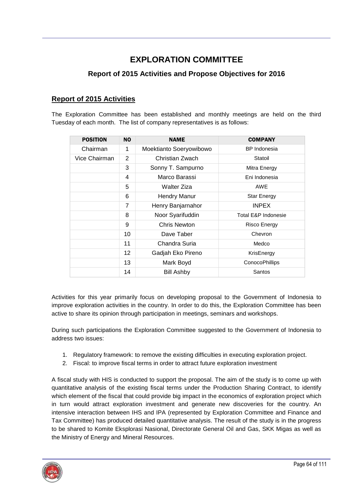## **EXPLORATION COMMITTEE**

### **Report of 2015 Activities and Propose Objectives for 2016**

#### **Report of 2015 Activities**

The Exploration Committee has been established and monthly meetings are held on the third Tuesday of each month. The list of company representatives is as follows:

| <b>POSITION</b> | <b>NO</b> | <b>NAME</b>             | <b>COMPANY</b>                 |
|-----------------|-----------|-------------------------|--------------------------------|
| Chairman        | 1         | Moektianto Soeryowibowo | <b>BP</b> Indonesia            |
| Vice Chairman   | 2         | Christian Zwach         | Statoil                        |
|                 | 3         | Sonny T. Sampurno       | Mitra Energy                   |
|                 | 4         | Marco Barassi           | Eni Indonesia                  |
|                 | 5         | Walter Ziza             | AWE                            |
|                 | 6         | <b>Hendry Manur</b>     | <b>Star Energy</b>             |
|                 | 7         | Henry Banjarnahor       | <b>INPEX</b>                   |
|                 | 8         | Noor Syarifuddin        | <b>Total E&amp;P Indonesie</b> |
|                 | 9         | <b>Chris Newton</b>     | Risco Energy                   |
|                 | 10        | Dave Taber              | Chevron                        |
|                 | 11        | Chandra Suria           | Medco                          |
|                 | 12        | Gadjah Eko Pireno       | KrisEnergy                     |
|                 | 13        | Mark Boyd               | <b>ConocoPhillips</b>          |
|                 | 14        | <b>Bill Ashby</b>       | Santos                         |

Activities for this year primarily focus on developing proposal to the Government of Indonesia to improve exploration activities in the country. In order to do this, the Exploration Committee has been active to share its opinion through participation in meetings, seminars and workshops.

During such participations the Exploration Committee suggested to the Government of Indonesia to address two issues:

- 1. Regulatory framework: to remove the existing difficulties in executing exploration project.
- 2. Fiscal: to improve fiscal terms in order to attract future exploration investment

A fiscal study with HIS is conducted to support the proposal. The aim of the study is to come up with quantitative analysis of the existing fiscal terms under the Production Sharing Contract, to identify which element of the fiscal that could provide big impact in the economics of exploration project which in turn would attract exploration investment and generate new discoveries for the country. An intensive interaction between IHS and IPA (represented by Exploration Committee and Finance and Tax Committee) has produced detailed quantitative analysis. The result of the study is in the progress to be shared to Komite Eksplorasi Nasional, Directorate General Oil and Gas, SKK Migas as well as the Ministry of Energy and Mineral Resources.

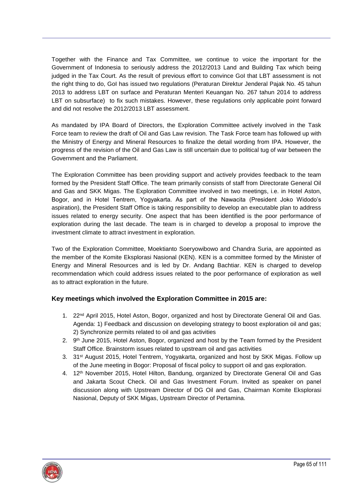Together with the Finance and Tax Committee, we continue to voice the important for the Government of Indonesia to seriously address the 2012/2013 Land and Building Tax which being judged in the Tax Court. As the result of previous effort to convince GoI that LBT assessment is not the right thing to do, GoI has issued two regulations (Peraturan Direktur Jenderal Pajak No. 45 tahun 2013 to address LBT on surface and Peraturan Menteri Keuangan No. 267 tahun 2014 to address LBT on subsurface) to fix such mistakes. However, these regulations only applicable point forward and did not resolve the 2012/2013 LBT assessment.

As mandated by IPA Board of Directors, the Exploration Committee actively involved in the Task Force team to review the draft of Oil and Gas Law revision. The Task Force team has followed up with the Ministry of Energy and Mineral Resources to finalize the detail wording from IPA. However, the progress of the revision of the Oil and Gas Law is still uncertain due to political tug of war between the Government and the Parliament.

The Exploration Committee has been providing support and actively provides feedback to the team formed by the President Staff Office. The team primarily consists of staff from Directorate General Oil and Gas and SKK Migas. The Exploration Committee involved in two meetings, i.e. in Hotel Aston, Bogor, and in Hotel Tentrem, Yogyakarta. As part of the Nawacita (President Joko Widodo's aspiration), the President Staff Office is taking responsibility to develop an executable plan to address issues related to energy security. One aspect that has been identified is the poor performance of exploration during the last decade. The team is in charged to develop a proposal to improve the investment climate to attract investment in exploration.

Two of the Exploration Committee, Moektianto Soeryowibowo and Chandra Suria, are appointed as the member of the Komite Eksplorasi Nasional (KEN). KEN is a committee formed by the Minister of Energy and Mineral Resources and is led by Dr. Andang Bachtiar. KEN is charged to develop recommendation which could address issues related to the poor performance of exploration as well as to attract exploration in the future.

#### **Key meetings which involved the Exploration Committee in 2015 are:**

- 1. 22<sup>nd</sup> April 2015, Hotel Aston, Bogor, organized and host by Directorate General Oil and Gas. Agenda: 1) Feedback and discussion on developing strategy to boost exploration oil and gas; 2) Synchronize permits related to oil and gas activities
- 2. 9<sup>th</sup> June 2015, Hotel Aston, Bogor, organized and host by the Team formed by the President Staff Office. Brainstorm issues related to upstream oil and gas activities
- 3. 31<sup>st</sup> August 2015, Hotel Tentrem, Yogyakarta, organized and host by SKK Migas. Follow up of the June meeting in Bogor: Proposal of fiscal policy to support oil and gas exploration.
- 4. 12th November 2015, Hotel Hilton, Bandung, organized by Directorate General Oil and Gas and Jakarta Scout Check. Oil and Gas Investment Forum. Invited as speaker on panel discussion along with Upstream Director of DG Oil and Gas, Chairman Komite Eksplorasi Nasional, Deputy of SKK Migas, Upstream Director of Pertamina.